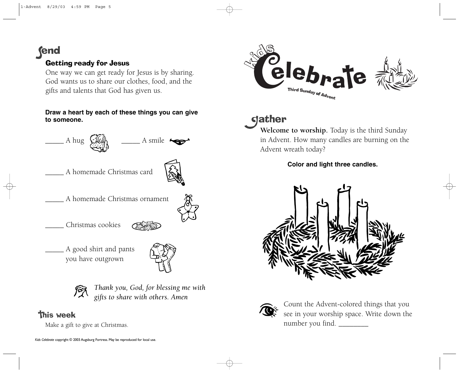**fend** 

## Getting ready for Jesus

One way we can get ready for Jesus is by sharing. God wants us to share our clothes, food, and the gifts and talents that God has given us.

#### **Draw a heart by each of these things you can give to someone.**



\_\_\_\_\_ Christmas cookies

\_\_\_\_\_ A good shirt and pants you have outgrown



*Thank you, God, for blessing me with gifts to share with others. Amen*

## **This week**

Make a gift to give at Christmas.



# **gather**

**Welcome to worship.** Today is the third Sunday in Advent. How many candles are burning on the Advent wreath today?

### **Color and light three candles.**





Count the Advent-colored things that you see in your worship space. Write down the number you find.